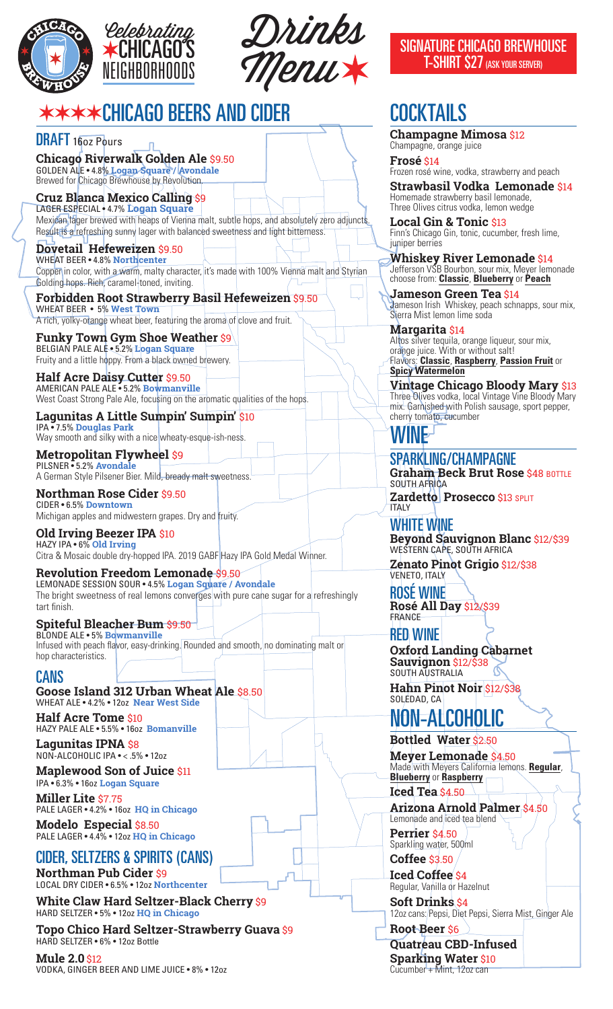

Drinks CHICAGO'S Menu *Celebrating*<br> **EXALICAGO SIGNATURE CHICAGO BREWHOUSE** 

## ✶✶✶✶CHICAGO BEERS AND CIDER

DRAFT 16oz Pours **Chicago Riverwalk Golden Ale** \$9.50GOLDEN ALE • 4.8% **Logan Square / Avondale** Brewed for Chicago Brewhouse by Revolution

**Cruz Blanca Mexico Calling** \$9 LAGER ESPECIAL • 4.7% **Logan Square** Mexican lager brewed with heaps of Vienna malt, subtle hops, and absolutely zero adjuncts. Result is a refreshing sunny lager with balanced sweetness and light bitterness.

**Dovetail Hefeweizen** \$9.50 WHEAT BEER • 4.8% **Northcenter** Copper in color, with a warm, malty character, it's made with 100% Vienna malt and Styrian Golding hops. Rich, caramel-toned, inviting.

**Forbidden Root Strawberry Basil Hefeweizen** \$9.50 WHEAT BEER • 5% **West Town**  A rich, yolky-orange wheat beer, featuring the aroma of clove and fruit.

**Funky Town Gym Shoe Weather** \$9 BELGIAN PALE ALE • 5.2% **Logan Square** Fruity and a little hoppy. From a black owned brewery.

**Half Acre Daisy Cutter** \$9.50 AMERICAN PALE ALE • 5.2% **Bowmanville** West Coast Strong Pale Ale, focusing on the aromatic qualities of the hops.

**Lagunitas A Little Sumpin' Sumpin'** \$10 IPA • 7.5% **Douglas Park** Way smooth and silky with a nice wheaty-esque-ish-ness.

**Metropolitan Flywheel** \$9 PILSNER • 5.2% **Avondale** A German Style Pilsener Bier. Mild, bready malt sweetness.

**Northman Rose Cider** \$9.50 CIDER • 6.5% **Downtown** Michigan apples and midwestern grapes. Dry and fruity.

**Old Irving Beezer IPA** \$10 HAZY IPA • 6% **Old Irving** Citra & Mosaic double dry-hopped IPA. 2019 GABF Hazy IPA Gold Medal Winner.

**Revolution Freedom Lemonade** \$9.50 LEMONADE SESSION SOUR • 4.5% **Logan Square / Avondale** The bright sweetness of real lemons converges with pure cane sugar for a refreshingly tart finish.

**Spiteful Bleacher Bum** \$9.50 BLONDE ALE • 5% **Bowmanville** Infused with peach flavor, easy-drinking. Rounded and smooth, no dominating malt or hop characteristics.

CANS

**Goose Island 312 Urban Wheat Ale** \$8.50 WHEAT ALE • 4.2% • 12oz **Near West Side**

**Half Acre Tome** \$10 HAZY PALE ALE • 5.5% • 16oz **Bomanville**

**Lagunitas IPNA** \$8 NON-ALCOHOLIC IPA • < .5% • 12oz

**Maplewood Son of Juice** \$11 IPA • 6.3% • 16oz **Logan Square**

**Miller Lite** \$7.75 PALE LAGER • 4.2% • 16oz **HQ in Chicago**

**Modelo Especial** \$8.50 PALE LAGER • 4.4% • 12oz **HQ in Chicago**

#### CIDER, SELTZERS & SPIRITS (CANS)

**Northman Pub Cider** \$9 LOCAL DRY CIDER • 6.5% • 12oz **Northcenter**

**White Claw Hard Seltzer-Black Cherry** \$9 HARD SELTZER • 5% • 12oz **HQ in Chicago**

**Topo Chico Hard Seltzer-Strawberry Guava** \$9 HARD SELTZER • 6% • 12oz Bottle

**Mule 2.0** \$12 VODKA, GINGER BEER AND LIME JUICE • 8% • 12oz T-SHIRT \$27 (ASK YOUR SERVER)

# **COCKTAILS**

**Champagne Mimosa** \$12 Champagne, orange juice

**Frosé** \$14 Frozen rosé wine, vodka, strawberry and peach

**Strawbasil Vodka Lemonade** \$14 Homemade strawberry basil lemonade, Three Olives citrus vodka, lemon wedge

**Local Gin & Tonic** \$13 Finn's Chicago Gin, tonic, cucumber, fresh lime, juniper berries

**Whiskey River Lemonade** \$14 Jefferson VSB Bourbon, sour mix, Meyer lemonade choose from: **Classic**, **Blueberry** or **Peach**

**Jameson Green Tea** \$14 Jameson Irish Whiskey, peach schnapps, sour mix, Sierra Mist lemon lime soda

**Margarita** \$14 Altos silver tequila, orange liqueur, sour mix, orange juice. With or without salt! Flavors: **Classic**, **Raspberry**, **Passion Fruit** or **Spicy Watermelon**

**Vintage Chicago Bloody Mary** \$13 Three Olives vodka, local Vintage Vine Bloody Mary mix. Garnished with Polish sausage, sport pepper, cherry tomato, cucumber

## WINE

**ITAIY** 

SPARKLING/CHAMPAGNE **Graham Beck Brut Rose \$48 BOTTLE** SOUTH AFRICA **Zardetto Prosecco** \$13 SPLIT

WHITE WINE **Beyond Sauvignon Blanc** \$12/\$39 WESTERN CAPE, SOUTH AFRICA

**Zenato Pinot Grigio** \$12/\$38 VENETO, ITALY

ROSÉ WINE **Rosé All Day** \$12/\$39 FRANCE

RED WINE **Oxford Landing Cabarnet Sauvignon** \$12/\$38 SOUTH AUSTRALIA

**Hahn Pinot Noir** \$12/\$38 SOLEDAD, CA

# NON-ALCOHOLIC

**Bottled Water** \$2.50

**Meyer Lemonade** \$4.50 Made with Meyers California lemons. **Regular**, **Blueberry** or **Raspberry Iced Tea** \$4.50

**Arizona Arnold Palmer** \$4.50 Lemonade and *iced* tea blend

**Perrier** \$4.50 Sparkling water, 500ml

**Coffee** \$3.50 **Iced Coffee** \$4

Regular, Vanilla or Hazelnut **Soft Drinks** \$4

12oz cans: Pepsi, Diet Pepsi, Sierra Mist, Ginger Ale **Root Beer** \$6

**Quatreau CBD-Infused Sparking Water** \$10 Cucumber + Mint, 12oz can